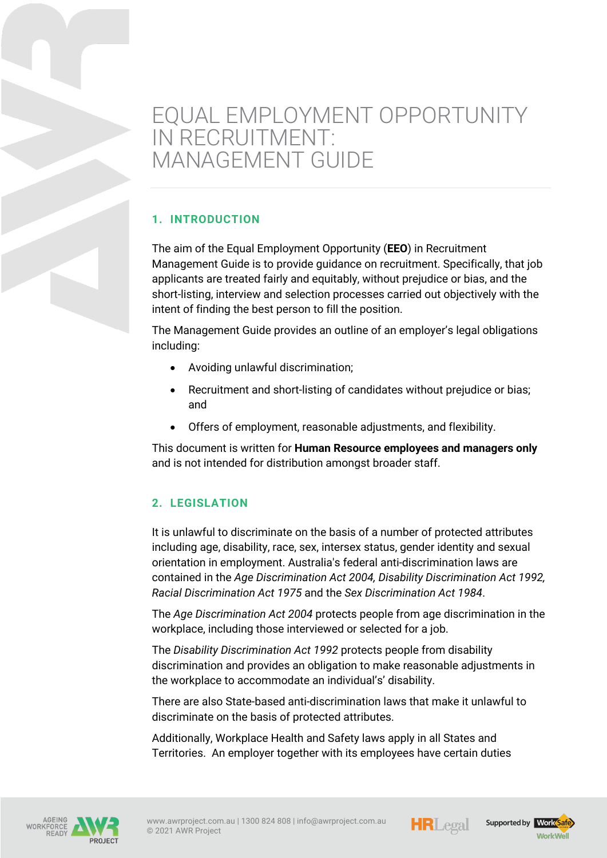# EQUAL EMPLOYMENT OPPORTUNITY IN RECRUITMENT: MANAGEMENT GUIDE

# **1. INTRODUCTION**

The aim of the Equal Employment Opportunity (**EEO**) in Recruitment Management Guide is to provide guidance on recruitment. Specifically, that job applicants are treated fairly and equitably, without prejudice or bias, and the short-listing, interview and selection processes carried out objectively with the intent of finding the best person to fill the position.

The Management Guide provides an outline of an employer's legal obligations including:

- Avoiding unlawful discrimination;
- Recruitment and short-listing of candidates without prejudice or bias; and
- Offers of employment, reasonable adjustments, and flexibility.

This document is written for **Human Resource employees and managers only** and is not intended for distribution amongst broader staff.

# **2. LEGISLATION**

It is unlawful to discriminate on the basis of a number of protected attributes including age, disability, race, sex, intersex status, gender identity and sexual orientation in employment. Australia's federal anti-discrimination laws are contained in the *Age Discrimination Act 2004, Disability Discrimination Act 1992, Racial Discrimination Act 1975* and the *Sex Discrimination Act 1984*.

The *Age Discrimination Act 2004* protects people from age discrimination in the workplace, including those interviewed or selected for a job.

The *Disability Discrimination Act 1992* protects people from disability discrimination and provides an obligation to make reasonable adjustments in the workplace to accommodate an individual's' disability.

There are also State-based anti-discrimination laws that make it unlawful to discriminate on the basis of protected attributes.

Additionally, Workplace Health and Safety laws apply in all States and Territories. An employer together with its employees have certain duties







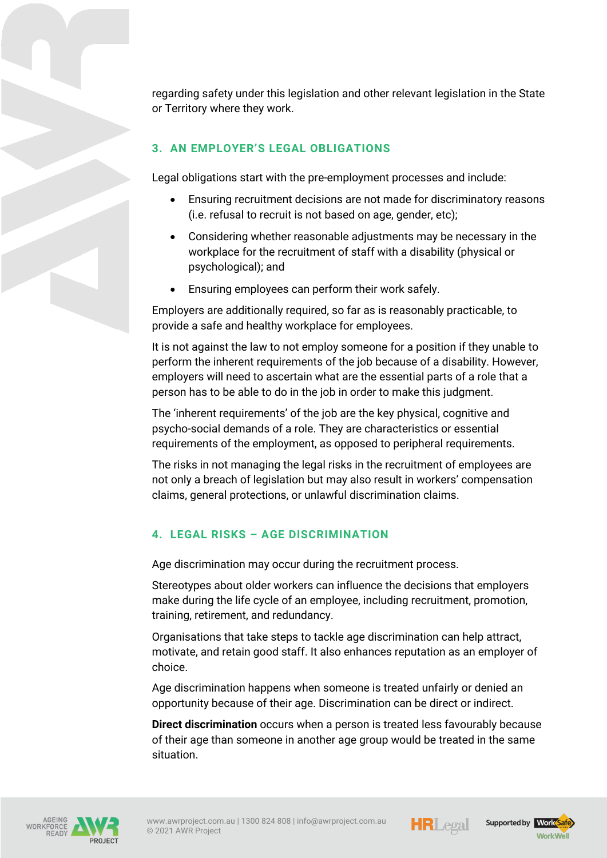regarding safety under this legislation and other relevant legislation in the State or Territory where they work.

# **3. AN EMPLOYER'S LEGAL OBLIGATIONS**

Legal obligations start with the pre-employment processes and include:

- Ensuring recruitment decisions are not made for discriminatory reasons (i.e. refusal to recruit is not based on age, gender, etc);
- Considering whether reasonable adjustments may be necessary in the workplace for the recruitment of staff with a disability (physical or psychological); and
- Ensuring employees can perform their work safely.

Employers are additionally required, so far as is reasonably practicable, to provide a safe and healthy workplace for employees.

It is not against the law to not employ someone for a position if they unable to perform the inherent requirements of the job because of a disability. However, employers will need to ascertain what are the essential parts of a role that a person has to be able to do in the job in order to make this judgment.

The 'inherent requirements' of the job are the key physical, cognitive and psycho-social demands of a role. They are characteristics or essential requirements of the employment, as opposed to peripheral requirements.

The risks in not managing the legal risks in the recruitment of employees are not only a breach of legislation but may also result in workers' compensation claims, general protections, or unlawful discrimination claims.

#### **4. LEGAL RISKS – AGE DISCRIMINATION**

Age discrimination may occur during the recruitment process.

Stereotypes about older workers can influence the decisions that employers make during the life cycle of an employee, including recruitment, promotion, training, retirement, and redundancy.

Organisations that take steps to tackle age discrimination can help attract, motivate, and retain good staff. It also enhances reputation as an employer of choice.

Age discrimination happens when someone is treated unfairly or denied an opportunity because of their age. Discrimination can be direct or indirect.

**Direct discrimination** occurs when a person is treated less favourably because of their age than someone in another age group would be treated in the same situation.





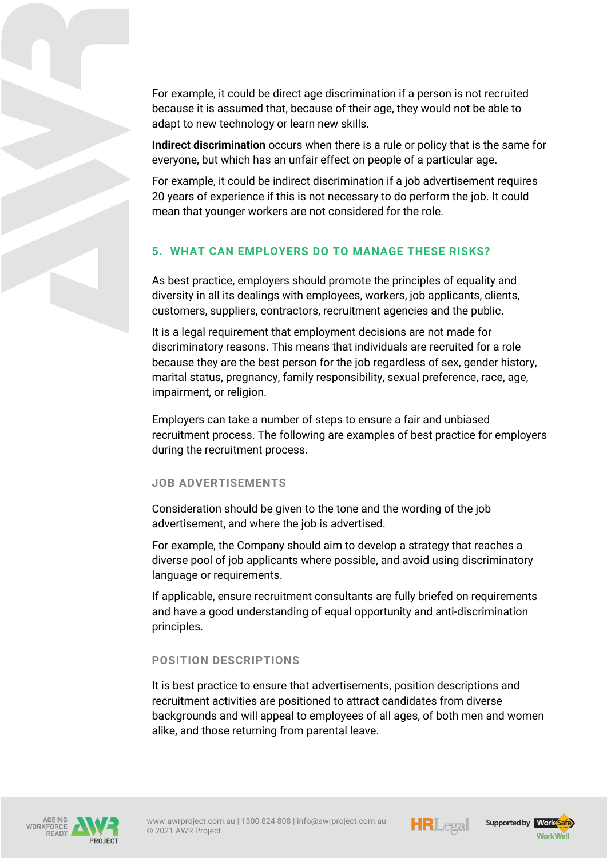For example, it could be direct age discrimination if a person is not recruited because it is assumed that, because of their age, they would not be able to adapt to new technology or learn new skills.

**Indirect discrimination** occurs when there is a rule or policy that is the same for everyone, but which has an unfair effect on people of a particular age.

For example, it could be indirect discrimination if a job advertisement requires 20 years of experience if this is not necessary to do perform the job. It could mean that younger workers are not considered for the role.

# **5. WHAT CAN EMPLOYERS DO TO MANAGE THESE RISKS?**

As best practice, employers should promote the principles of equality and diversity in all its dealings with employees, workers, job applicants, clients, customers, suppliers, contractors, recruitment agencies and the public.

It is a legal requirement that employment decisions are not made for discriminatory reasons. This means that individuals are recruited for a role because they are the best person for the job regardless of sex, gender history, marital status, pregnancy, family responsibility, sexual preference, race, age, impairment, or religion.

Employers can take a number of steps to ensure a fair and unbiased recruitment process. The following are examples of best practice for employers during the recruitment process.

#### **JOB ADVERTISEMENTS**

Consideration should be given to the tone and the wording of the job advertisement, and where the job is advertised.

For example, the Company should aim to develop a strategy that reaches a diverse pool of job applicants where possible, and avoid using discriminatory language or requirements.

If applicable, ensure recruitment consultants are fully briefed on requirements and have a good understanding of equal opportunity and anti-discrimination principles.

#### **POSITION DESCRIPTIONS**

It is best practice to ensure that advertisements, position descriptions and recruitment activities are positioned to attract candidates from diverse backgrounds and will appeal to employees of all ages, of both men and women alike, and those returning from parental leave.







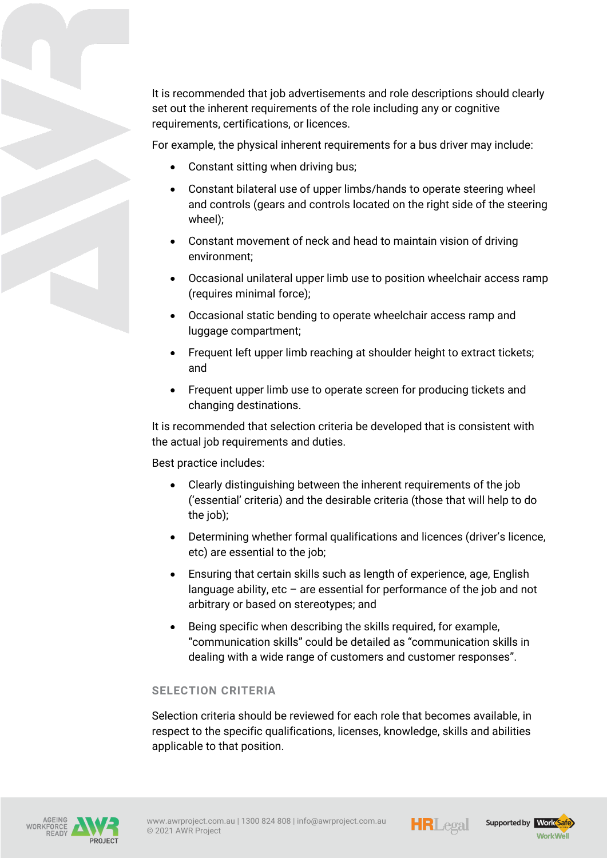It is recommended that job advertisements and role descriptions should clearly set out the inherent requirements of the role including any or cognitive requirements, certifications, or licences.

For example, the physical inherent requirements for a bus driver may include:

- Constant sitting when driving bus;
- Constant bilateral use of upper limbs/hands to operate steering wheel and controls (gears and controls located on the right side of the steering wheel);
- Constant movement of neck and head to maintain vision of driving environment;
- Occasional unilateral upper limb use to position wheelchair access ramp (requires minimal force);
- Occasional static bending to operate wheelchair access ramp and luggage compartment;
- Frequent left upper limb reaching at shoulder height to extract tickets; and
- Frequent upper limb use to operate screen for producing tickets and changing destinations.

It is recommended that selection criteria be developed that is consistent with the actual job requirements and duties.

Best practice includes:

- Clearly distinguishing between the inherent requirements of the job ('essential' criteria) and the desirable criteria (those that will help to do the job);
- Determining whether formal qualifications and licences (driver's licence, etc) are essential to the job;
- Ensuring that certain skills such as length of experience, age, English language ability, etc  $-$  are essential for performance of the job and not arbitrary or based on stereotypes; and
- Being specific when describing the skills required, for example, "communication skills" could be detailed as "communication skills in dealing with a wide range of customers and customer responses".

#### **SELECTION CRITERIA**

Selection criteria should be reviewed for each role that becomes available, in respect to the specific qualifications, licenses, knowledge, skills and abilities applicable to that position.







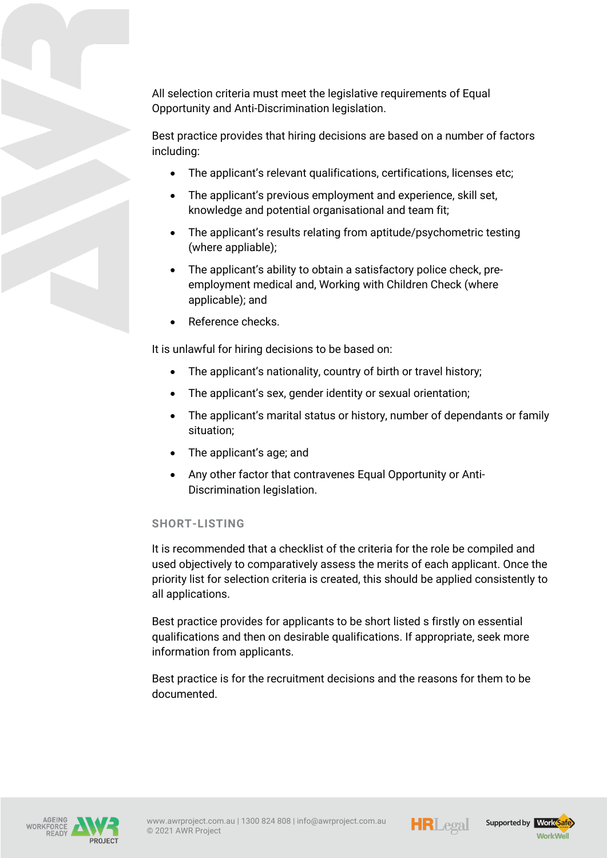All selection criteria must meet the legislative requirements of Equal Opportunity and Anti-Discrimination legislation.

Best practice provides that hiring decisions are based on a number of factors including:

- The applicant's relevant qualifications, certifications, licenses etc;
- The applicant's previous employment and experience, skill set, knowledge and potential organisational and team fit;
- The applicant's results relating from aptitude/psychometric testing (where appliable);
- The applicant's ability to obtain a satisfactory police check, preemployment medical and, Working with Children Check (where applicable); and
- Reference checks.

It is unlawful for hiring decisions to be based on:

- The applicant's nationality, country of birth or travel history;
- The applicant's sex, gender identity or sexual orientation;
- The applicant's marital status or history, number of dependants or family situation;
- The applicant's age; and
- Any other factor that contravenes Equal Opportunity or Anti-Discrimination legislation.

# **SHORT-LISTING**

It is recommended that a checklist of the criteria for the role be compiled and used objectively to comparatively assess the merits of each applicant. Once the priority list for selection criteria is created, this should be applied consistently to all applications.

Best practice provides for applicants to be short listed s firstly on essential qualifications and then on desirable qualifications. If appropriate, seek more information from applicants.

Best practice is for the recruitment decisions and the reasons for them to be documented.





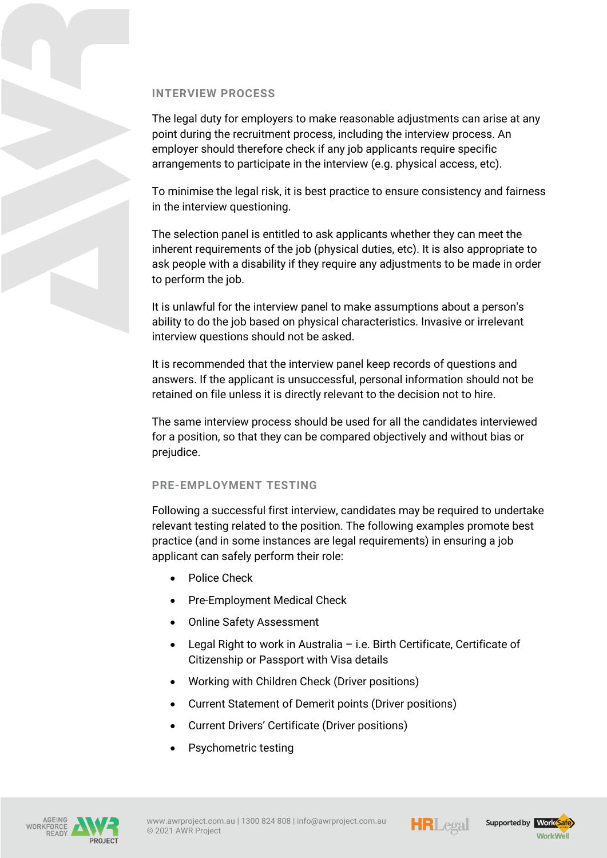## **INTERVIEW PROCESS**

The legal duty for employers to make reasonable adjustments can arise at any point during the recruitment process, including the interview process. An employer should therefore check if any job applicants require specific arrangements to participate in the interview (e.g. physical access, etc).

To minimise the legal risk, it is best practice to ensure consistency and fairness in the interview questioning.

The selection panel is entitled to ask applicants whether they can meet the inherent requirements of the job (physical duties, etc). It is also appropriate to ask people with a disability if they require any adjustments to be made in order to perform the job.

It is unlawful for the interview panel to make assumptions about a person's ability to do the job based on physical characteristics. Invasive or irrelevant interview questions should not be asked.

It is recommended that the interview panel keep records of questions and answers. If the applicant is unsuccessful, personal information should not be retained on file unless it is directly relevant to the decision not to hire.

The same interview process should be used for all the candidates interviewed for a position, so that they can be compared objectively and without bias or prejudice.

### **PRE-EMPLOYMENT TESTING**

Following a successful first interview, candidates may be required to undertake relevant testing related to the position. The following examples promote best practice (and in some instances are legal requirements) in ensuring a job applicant can safely perform their role:

- Police Check
- Pre-Employment Medical Check
- Online Safety Assessment
- Legal Right to work in Australia i.e. Birth Certificate, Certificate of Citizenship or Passport with Visa details
- Working with Children Check (Driver positions)
- Current Statement of Demerit points (Driver positions)
- Current Drivers' Certificate (Driver positions)
- Psychometric testing



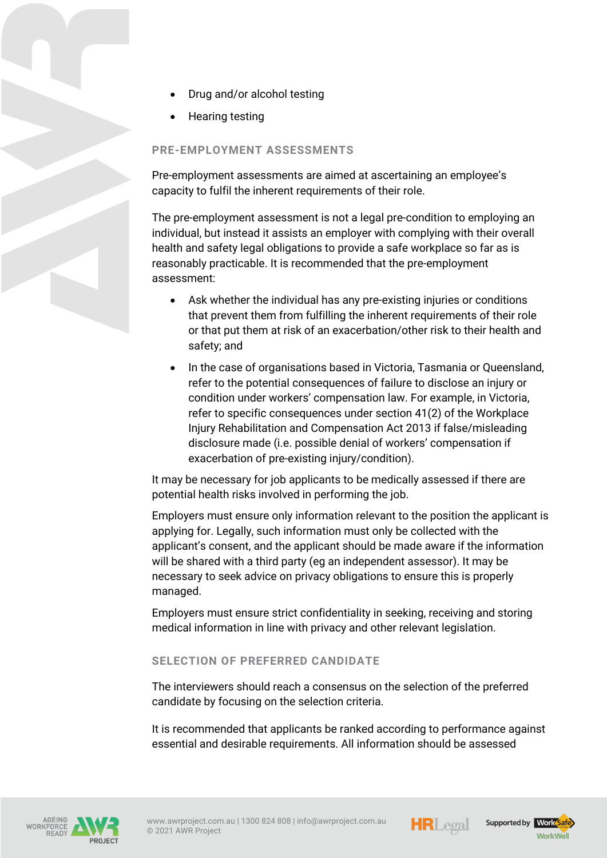- Drug and/or alcohol testing
- Hearing testing

## **PRE-EMPLOYMENT ASSESSMENTS**

Pre-employment assessments are aimed at ascertaining an employee's capacity to fulfil the inherent requirements of their role.

The pre-employment assessment is not a legal pre-condition to employing an individual, but instead it assists an employer with complying with their overall health and safety legal obligations to provide a safe workplace so far as is reasonably practicable. It is recommended that the pre-employment assessment:

- Ask whether the individual has any pre-existing injuries or conditions that prevent them from fulfilling the inherent requirements of their role or that put them at risk of an exacerbation/other risk to their health and safety; and
- In the case of organisations based in Victoria, Tasmania or Queensland, refer to the potential consequences of failure to disclose an injury or condition under workers' compensation law. For example, in Victoria, refer to specific consequences under section 41(2) of the Workplace Injury Rehabilitation and Compensation Act 2013 if false/misleading disclosure made (i.e. possible denial of workers' compensation if exacerbation of pre-existing injury/condition).

It may be necessary for job applicants to be medically assessed if there are potential health risks involved in performing the job.

Employers must ensure only information relevant to the position the applicant is applying for. Legally, such information must only be collected with the applicant's consent, and the applicant should be made aware if the information will be shared with a third party (eg an independent assessor). It may be necessary to seek advice on privacy obligations to ensure this is properly managed.

Employers must ensure strict confidentiality in seeking, receiving and storing medical information in line with privacy and other relevant legislation.

#### **SELECTION OF PREFERRED CANDIDATE**

The interviewers should reach a consensus on the selection of the preferred candidate by focusing on the selection criteria.

It is recommended that applicants be ranked according to performance against essential and desirable requirements. All information should be assessed









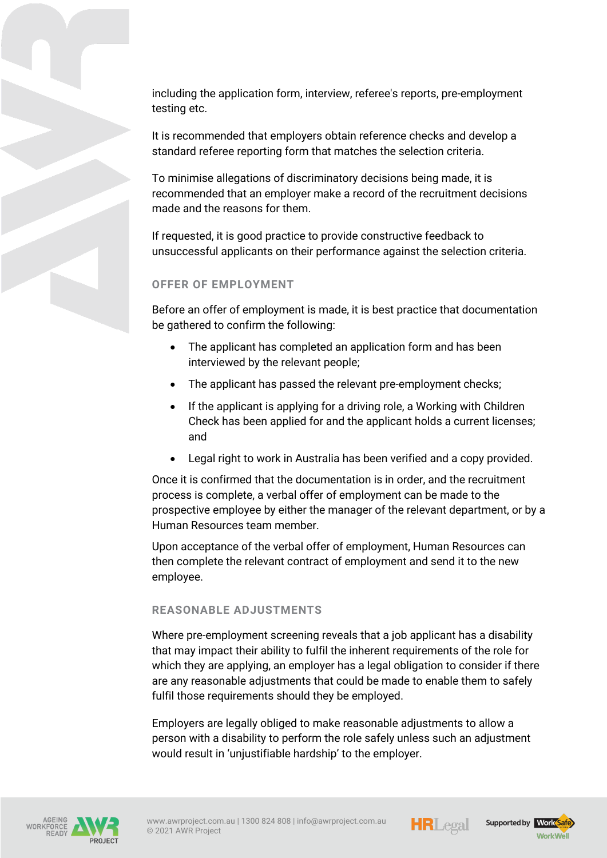including the application form, interview, referee's reports, pre-employment testing etc.

It is recommended that employers obtain reference checks and develop a standard referee reporting form that matches the selection criteria.

To minimise allegations of discriminatory decisions being made, it is recommended that an employer make a record of the recruitment decisions made and the reasons for them.

If requested, it is good practice to provide constructive feedback to unsuccessful applicants on their performance against the selection criteria.

# **OFFER OF EMPLOYMENT**

Before an offer of employment is made, it is best practice that documentation be gathered to confirm the following:

- The applicant has completed an application form and has been interviewed by the relevant people;
- The applicant has passed the relevant pre-employment checks;
- If the applicant is applying for a driving role, a Working with Children Check has been applied for and the applicant holds a current licenses; and
- Legal right to work in Australia has been verified and a copy provided.

Once it is confirmed that the documentation is in order, and the recruitment process is complete, a verbal offer of employment can be made to the prospective employee by either the manager of the relevant department, or by a Human Resources team member.

Upon acceptance of the verbal offer of employment, Human Resources can then complete the relevant contract of employment and send it to the new employee.

# **REASONABLE ADJUSTMENTS**

Where pre-employment screening reveals that a job applicant has a disability that may impact their ability to fulfil the inherent requirements of the role for which they are applying, an employer has a legal obligation to consider if there are any reasonable adjustments that could be made to enable them to safely fulfil those requirements should they be employed.

Employers are legally obliged to make reasonable adjustments to allow a person with a disability to perform the role safely unless such an adjustment would result in 'unjustifiable hardship' to the employer.







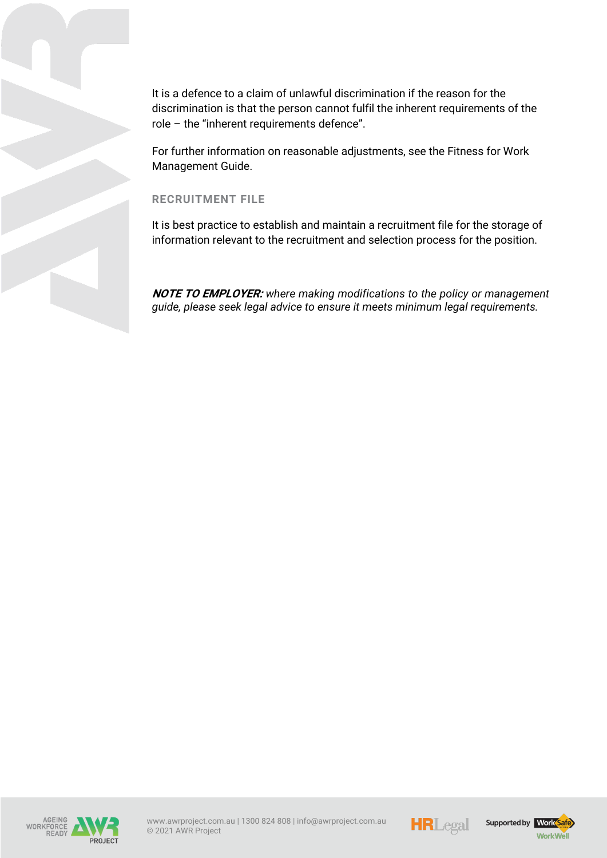It is a defence to a claim of unlawful discrimination if the reason for the discrimination is that the person cannot fulfil the inherent requirements of the role – the "inherent requirements defence".

For further information on reasonable adjustments, see the Fitness for Work Management Guide.

### **RECRUITMENT FILE**

It is best practice to establish and maintain a recruitment file for the storage of information relevant to the recruitment and selection process for the position.

**NOTE TO EMPLOYER:** *where making modifications to the policy or management guide, please seek legal advice to ensure it meets minimum legal requirements.*